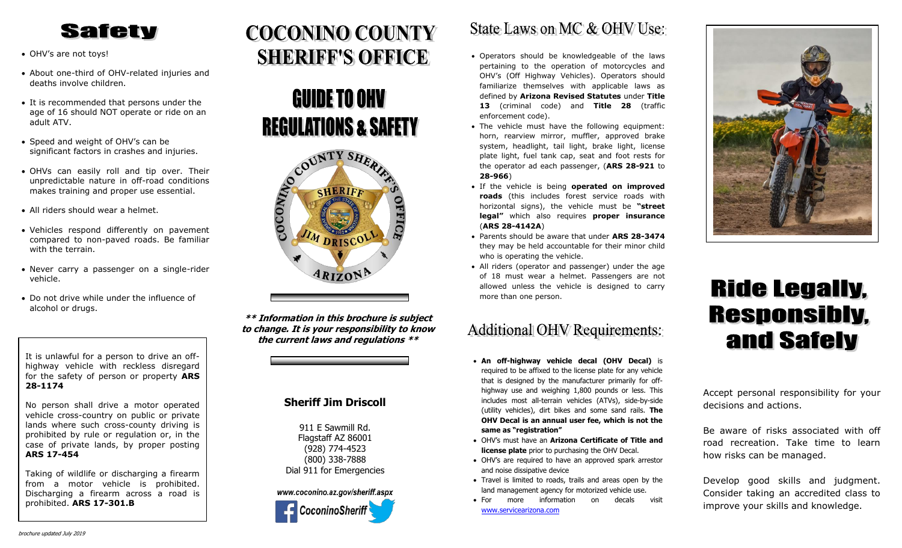## **Safety**

- OHV's are not toys!
- About one-third of OHV-related injuries and deaths involve children.
- It is recommended that persons under the age of 16 should NOT operate or ride on an adult ATV.
- Speed and weight of OHV's can be significant factors in crashes and injuries.
- OHVs can easily roll and tip over. Their unpredictable nature in off-road conditions makes training and proper use essential.
- All riders should wear a helmet.
- Vehicles respond differently on pavement compared to non-paved roads. Be familiar with the terrain.
- Never carry a passenger on a single-rider vehicle.
- Do not drive while under the influence of alcohol or drugs.

It is unlawful for a person to drive an offhighway vehicle with reckless disregard for the safety of person or property **ARS 28-1174**

No person shall drive a motor operated vehicle cross-country on public or private lands where such cross-county driving is prohibited by rule or regulation or, in the case of private lands, by proper posting **ARS 17-454**

Taking of wildlife or discharging a firearm from a motor vehicle is prohibited. Discharging a firearm across a road is prohibited. **ARS 17-301.B**

# **COCONINO COUNTY SHERIFF'S OFFICE**





**\*\* Information in this brochure is subject to change. It is your responsibility to know the current laws and regulations \*\***

### **Sheriff Jim Driscoll**

911 E Sawmill Rd. Flagstaff AZ 86001 (928) 774-4523 (800) 338-7888 Dial 911 for Emergencies



## State Laws on MC & OHV Use:

- Operators should be knowledgeable of the laws pertaining to the operation of motorcycles and OHV's (Off Highway Vehicles). Operators should familiarize themselves with applicable laws as defined by **Arizona Revised Statutes** under **Title 13** (criminal code) and **Title 28** (traffic enforcement code).
- The vehicle must have the following equipment: horn, rearview mirror, muffler, approved brake system, headlight, tail light, brake light, license plate light, fuel tank cap, seat and foot rests for the operator ad each passenger, (**ARS 28-921** to **28-966**)
- If the vehicle is being **operated on improved roads** (this includes forest service roads with horizontal signs), the vehicle must be **"street legal"** which also requires **proper insurance** (**ARS 28-4142A**)
- Parents should be aware that under **ARS 28-3474** they may be held accountable for their minor child who is operating the vehicle.
- All riders (operator and passenger) under the age of 18 must wear a helmet. Passengers are not allowed unless the vehicle is designed to carry more than one person.

### **Additional OHV Requirements:**

- **An off-highway vehicle decal (OHV Decal)** is required to be affixed to the license plate for any vehicle that is designed by the manufacturer primarily for offhighway use and weighing 1,800 pounds or less. This includes most all-terrain vehicles (ATVs), side-by-side (utility vehicles), dirt bikes and some sand rails. **The OHV Decal is an annual user fee, which is not the same as "registration"**
- OHV's must have an **Arizona Certificate of Title and license plate** prior to purchasing the OHV Decal.
- OHV's are required to have an approved spark arrestor and noise dissipative device
- Travel is limited to roads, trails and areas open by the land management agency for motorized vehicle use.
- For more information on decals visit [www.servicearizona.com](http://www.servicearizona.com/)



# **Ride Legally. Responsibly.** and Safely

Accept personal responsibility for your decisions and actions.

Be aware of risks associated with off road recreation. Take time to learn how risks can be managed.

Develop good skills and judgment. Consider taking an accredited class to improve your skills and knowledge.